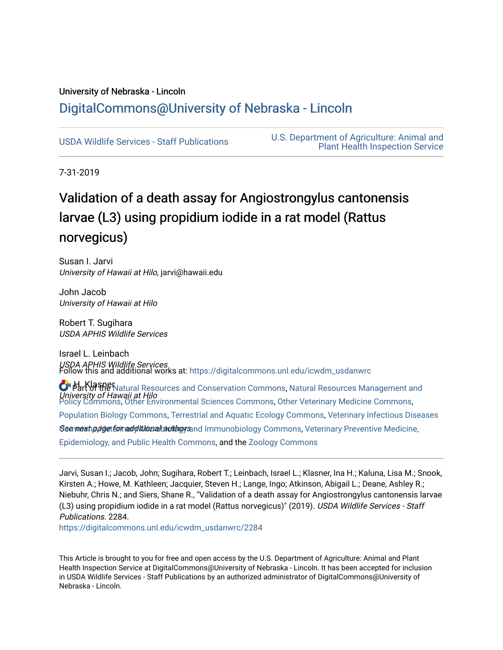## University of Nebraska - Lincoln [DigitalCommons@University of Nebraska - Lincoln](https://digitalcommons.unl.edu/)

[USDA Wildlife Services - Staff Publications](https://digitalcommons.unl.edu/icwdm_usdanwrc) [U.S. Department of Agriculture: Animal and](https://digitalcommons.unl.edu/usdaaphis)  [Plant Health Inspection Service](https://digitalcommons.unl.edu/usdaaphis) 

7-31-2019

# Validation of a death assay for Angiostrongylus cantonensis larvae (L3) using propidium iodide in a rat model (Rattus norvegicus)

Susan I. Jarvi University of Hawaii at Hilo, jarvi@hawaii.edu

John Jacob University of Hawaii at Hilo

Robert T. Sugihara USDA APHIS Wildlife Services

Israel L. Leinbach *USDA APHIS Wildlife Services*<br>Follow this and additional works at: [https://digitalcommons.unl.edu/icwdm\\_usdanwrc](https://digitalcommons.unl.edu/icwdm_usdanwrc?utm_source=digitalcommons.unl.edu%2Ficwdm_usdanwrc%2F2284&utm_medium=PDF&utm_campaign=PDFCoverPages)

O Part of the [Natural Resources and Conservation Commons,](http://network.bepress.com/hgg/discipline/168?utm_source=digitalcommons.unl.edu%2Ficwdm_usdanwrc%2F2284&utm_medium=PDF&utm_campaign=PDFCoverPages) [Natural Resources Management and](http://network.bepress.com/hgg/discipline/170?utm_source=digitalcommons.unl.edu%2Ficwdm_usdanwrc%2F2284&utm_medium=PDF&utm_campaign=PDFCoverPages) University of Hawaii at Hilo [Policy Commons](http://network.bepress.com/hgg/discipline/170?utm_source=digitalcommons.unl.edu%2Ficwdm_usdanwrc%2F2284&utm_medium=PDF&utm_campaign=PDFCoverPages), [Other Environmental Sciences Commons](http://network.bepress.com/hgg/discipline/173?utm_source=digitalcommons.unl.edu%2Ficwdm_usdanwrc%2F2284&utm_medium=PDF&utm_campaign=PDFCoverPages), [Other Veterinary Medicine Commons](http://network.bepress.com/hgg/discipline/771?utm_source=digitalcommons.unl.edu%2Ficwdm_usdanwrc%2F2284&utm_medium=PDF&utm_campaign=PDFCoverPages),

[Population Biology Commons,](http://network.bepress.com/hgg/discipline/19?utm_source=digitalcommons.unl.edu%2Ficwdm_usdanwrc%2F2284&utm_medium=PDF&utm_campaign=PDFCoverPages) [Terrestrial and Aquatic Ecology Commons,](http://network.bepress.com/hgg/discipline/20?utm_source=digitalcommons.unl.edu%2Ficwdm_usdanwrc%2F2284&utm_medium=PDF&utm_campaign=PDFCoverPages) [Veterinary Infectious Diseases](http://network.bepress.com/hgg/discipline/770?utm_source=digitalcommons.unl.edu%2Ficwdm_usdanwrc%2F2284&utm_medium=PDF&utm_campaign=PDFCoverPages) 

See mext p*aget for additional authors* and Immunobiology [Commons](http://network.bepress.com/hgg/discipline/770?utm_source=digitalcommons.unl.edu%2Ficwdm_usdanwrc%2F2284&utm_medium=PDF&utm_campaign=PDFCoverPages), Veterinary Preventive Medicine,

[Epidemiology, and Public Health Commons,](http://network.bepress.com/hgg/discipline/769?utm_source=digitalcommons.unl.edu%2Ficwdm_usdanwrc%2F2284&utm_medium=PDF&utm_campaign=PDFCoverPages) and the [Zoology Commons](http://network.bepress.com/hgg/discipline/81?utm_source=digitalcommons.unl.edu%2Ficwdm_usdanwrc%2F2284&utm_medium=PDF&utm_campaign=PDFCoverPages)

Jarvi, Susan I.; Jacob, John; Sugihara, Robert T.; Leinbach, Israel L.; Klasner, Ina H.; Kaluna, Lisa M.; Snook, Kirsten A.; Howe, M. Kathleen; Jacquier, Steven H.; Lange, Ingo; Atkinson, Abigail L.; Deane, Ashley R.; Niebuhr, Chris N.; and Siers, Shane R., "Validation of a death assay for Angiostrongylus cantonensis larvae (L3) using propidium iodide in a rat model (Rattus norvegicus)" (2019). USDA Wildlife Services - Staff Publications. 2284.

[https://digitalcommons.unl.edu/icwdm\\_usdanwrc/2284](https://digitalcommons.unl.edu/icwdm_usdanwrc/2284?utm_source=digitalcommons.unl.edu%2Ficwdm_usdanwrc%2F2284&utm_medium=PDF&utm_campaign=PDFCoverPages) 

This Article is brought to you for free and open access by the U.S. Department of Agriculture: Animal and Plant Health Inspection Service at DigitalCommons@University of Nebraska - Lincoln. It has been accepted for inclusion in USDA Wildlife Services - Staff Publications by an authorized administrator of DigitalCommons@University of Nebraska - Lincoln.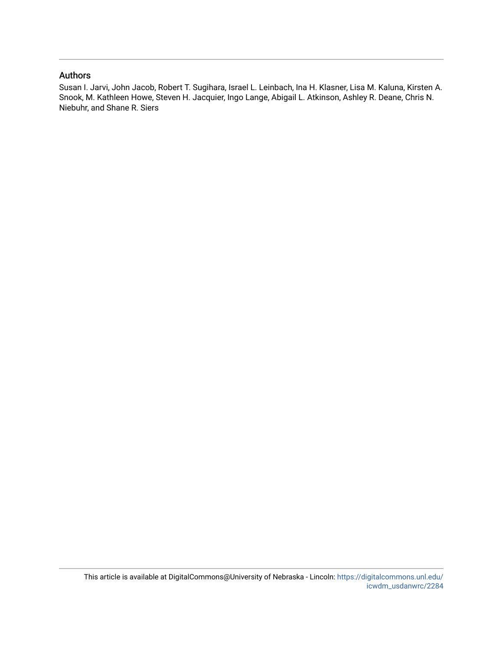## Authors

Susan I. Jarvi, John Jacob, Robert T. Sugihara, Israel L. Leinbach, Ina H. Klasner, Lisa M. Kaluna, Kirsten A. Snook, M. Kathleen Howe, Steven H. Jacquier, Ingo Lange, Abigail L. Atkinson, Ashley R. Deane, Chris N. Niebuhr, and Shane R. Siers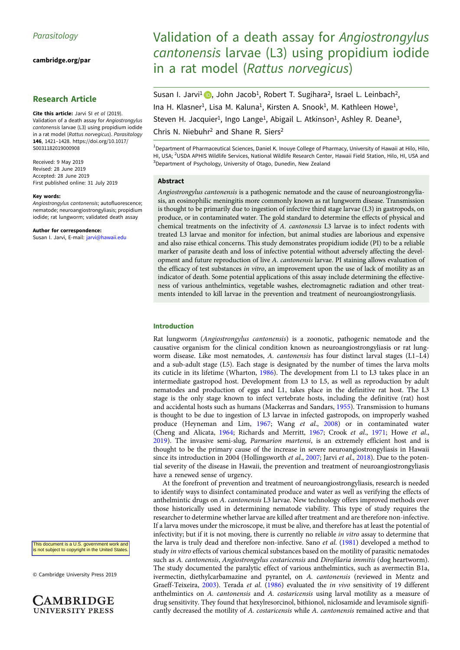[cambridge.org/par](https://www.cambridge.org/par)

## Research Article

Cite this article: Jarvi SI et al (2019). Validation of a death assay for Angiostrongylus cantonensis larvae (L3) using propidium iodide in a rat model (Rattus norvegicus). Parasitology 146, 1421–1428. [https://doi.org/10.1017/](https://doi.org/10.1017/S0031182019000908) [S0031182019000908](https://doi.org/10.1017/S0031182019000908)

Received: 9 May 2019 Revised: 28 June 2019 Accepted: 28 June 2019 First published online: 31 July 2019

#### Key words:

Angiostrongylus cantonensis; autofluorescence; nematode; neuroangiostrongyliasis; propidium iodide; rat lungworm; validated death assay

#### Author for correspondence:

Susan I. Jarvi, E-mail: [jarvi@hawaii.edu](mailto:jarvi@hawaii.edu)

This document is a U.S. government work and is not subject to copyright in the United States

© Cambridge University Press 2019



## Validation of a death assay for Angiostrongylus cantonensis larvae (L3) using propidium iodide in a rat model (Rattus norvegicus)

Susan I. Jarvi<sup>1</sup> **D**[,](https://orcid.org/0000-0002-9824-0509) John Jacob<sup>1</sup>, Robert T. Sugihara<sup>2</sup>, Israel L. Leinbach<sup>2</sup>, Ina H. Klasner<sup>1</sup>, Lisa M. Kaluna<sup>1</sup>, Kirsten A. Snook<sup>1</sup>, M. Kathleen Howe<sup>1</sup>, Steven H. Jacquier<sup>1</sup>, Ingo Lange<sup>1</sup>, Abigail L. Atkinson<sup>1</sup>, Ashley R. Deane<sup>3</sup>, Chris N. Niebuhr<sup>2</sup> and Shane R. Siers<sup>2</sup>

<sup>1</sup> Department of Pharmaceutical Sciences, Daniel K. Inouye College of Pharmacy, University of Hawaii at Hilo, Hilo, HI, USA; <sup>2</sup>USDA APHIS Wildlife Services, National Wildlife Research Center, Hawaii Field Station, Hilo, HI, USA and <sup>3</sup>Department of Psychology, University of Otago, Dunedin, New Zealand

## Abstract

Angiostrongylus cantonensis is a pathogenic nematode and the cause of neuroangiostrongyliasis, an eosinophilic meningitis more commonly known as rat lungworm disease. Transmission is thought to be primarily due to ingestion of infective third stage larvae (L3) in gastropods, on produce, or in contaminated water. The gold standard to determine the effects of physical and chemical treatments on the infectivity of A. cantonensis L3 larvae is to infect rodents with treated L3 larvae and monitor for infection, but animal studies are laborious and expensive and also raise ethical concerns. This study demonstrates propidium iodide (PI) to be a reliable marker of parasite death and loss of infective potential without adversely affecting the development and future reproduction of live A. cantonensis larvae. PI staining allows evaluation of the efficacy of test substances *in vitro*, an improvement upon the use of lack of motility as an indicator of death. Some potential applications of this assay include determining the effectiveness of various anthelmintics, vegetable washes, electromagnetic radiation and other treatments intended to kill larvae in the prevention and treatment of neuroangiostrongyliasis.

## Introduction

Rat lungworm (Angiostrongylus cantonensis) is a zoonotic, pathogenic nematode and the causative organism for the clinical condition known as neuroangiostrongyliasis or rat lungworm disease. Like most nematodes, A. cantonensis has four distinct larval stages (L1-L4) and a sub-adult stage (L5). Each stage is designated by the number of times the larva molts its cuticle in its lifetime (Wharton, [1986](#page-9-0)). The development from L1 to L3 takes place in an intermediate gastropod host. Development from L3 to L5, as well as reproduction by adult nematodes and production of eggs and L1, takes place in the definitive rat host. The L3 stage is the only stage known to infect vertebrate hosts, including the definitive (rat) host and accidental hosts such as humans (Mackerras and Sandars, [1955\)](#page-9-0). Transmission to humans is thought to be due to ingestion of L3 larvae in infected gastropods, on improperly washed produce (Heyneman and Lim, [1967](#page-8-0); Wang et al., [2008](#page-9-0)) or in contaminated water (Cheng and Alicata, [1964;](#page-8-0) Richards and Merritt, [1967;](#page-9-0) Crook et al., [1971](#page-8-0); Howe et al., [2019\)](#page-8-0). The invasive semi-slug, Parmarion martensi, is an extremely efficient host and is thought to be the primary cause of the increase in severe neuroangiostrongyliasis in Hawaii since its introduction in 2004 (Hollingsworth et al., [2007](#page-8-0); Jarvi et al., [2018\)](#page-9-0). Due to the potential severity of the disease in Hawaii, the prevention and treatment of neuroangiostrongyliasis have a renewed sense of urgency.

At the forefront of prevention and treatment of neuroangiostrongyliasis, research is needed to identify ways to disinfect contaminated produce and water as well as verifying the effects of anthelmintic drugs on A. cantonensis L3 larvae. New technology offers improved methods over those historically used in determining nematode viability. This type of study requires the researcher to determine whether larvae are killed after treatment and are therefore non-infective. If a larva moves under the microscope, it must be alive, and therefore has at least the potential of infectivity; but if it is not moving, there is currently no reliable in vitro assay to determine that the larva is truly dead and therefore non-infective. Sano et al. ([1981\)](#page-9-0) developed a method to study in vitro effects of various chemical substances based on the motility of parasitic nematodes such as A. cantonensis, Angiostrongylus costaricensis and Dirofilaria immitis (dog heartworm). The study documented the paralytic effect of various anthelmintics, such as avermectin B1a, ivermectin, diethylcarbamazine and pyrantel, on A. cantonensis (reviewed in Mentz and Graeff-Teixeira, [2003](#page-9-0)). Terada et al. ([1986](#page-9-0)) evaluated the in vivo sensitivity of 19 different anthelmintics on A. cantonensis and A. costaricensis using larval motility as a measure of drug sensitivity. They found that hexylresorcinol, bithionol, niclosamide and levamisole significantly decreased the motility of A. costaricensis while A. cantonensis remained active and that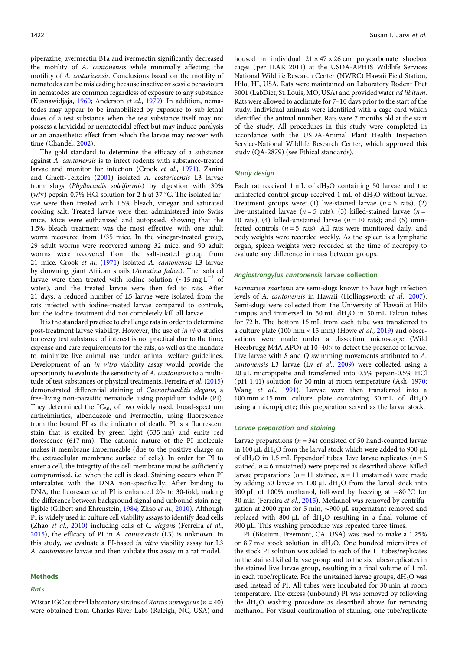piperazine, avermectin B1a and ivermectin significantly decreased the motility of A. cantonensis while minimally affecting the motility of A. costaricensis. Conclusions based on the motility of nematodes can be misleading because inactive or sessile behaviours in nematodes are common regardless of exposure to any substance (Kusnawidjaja, [1960;](#page-9-0) Anderson et al., [1979\)](#page-8-0). In addition, nematodes may appear to be immobilized by exposure to sub-lethal doses of a test substance when the test substance itself may not possess a larvicidal or nematocidal effect but may induce paralysis or an anaesthetic effect from which the larvae may recover with time (Chandel, [2002\)](#page-8-0).

The gold standard to determine the efficacy of a substance against A. cantonensis is to infect rodents with substance-treated larvae and monitor for infection (Crook et al., [1971\)](#page-8-0). Zanini and Graeff-Teixeira [\(2001\)](#page-9-0) isolated A. costaricensis L3 larvae from slugs (Phyllocaulis soleiformis) by digestion with 30% (w/v) pepsin-0.7% HCl solution for 2 h at 37 °C. The isolated larvae were then treated with 1.5% bleach, vinegar and saturated cooking salt. Treated larvae were then administered into Swiss mice. Mice were euthanized and autopsied, showing that the 1.5% bleach treatment was the most effective, with one adult worm recovered from 1/35 mice. In the vinegar-treated group, 29 adult worms were recovered among 32 mice, and 90 adult worms were recovered from the salt-treated group from 21 mice. Crook et al. [\(1971](#page-8-0)) isolated A. cantonensis L3 larvae by drowning giant African snails (Achatina fulica). The isolated larvae were then treated with iodine solution ( $\sim$ 15 mg L<sup>-1</sup> of water), and the treated larvae were then fed to rats. After 21 days, a reduced number of L5 larvae were isolated from the rats infected with iodine-treated larvae compared to controls, but the iodine treatment did not completely kill all larvae.

It is the standard practice to challenge rats in order to determine post-treatment larvae viability. However, the use of in vivo studies for every test substance of interest is not practical due to the time, expense and care requirements for the rats, as well as the mandate to minimize live animal use under animal welfare guidelines. Development of an in vitro viability assay would provide the opportunity to evaluate the sensitivity of A. cantonensis to a multitude of test substances or physical treatments. Ferreira et al. ([2015\)](#page-8-0) demonstrated differential staining of Caenorhabditis elegans, a free-living non-parasitic nematode, using propidium iodide (PI). They determined the  $IC<sub>50s</sub>$  of two widely used, broad-spectrum anthelmintics, albendazole and ivermectin, using fluorescence from the bound PI as the indicator of death. PI is a fluorescent stain that is excited by green light (535 nm) and emits red florescence (617 nm). The cationic nature of the PI molecule makes it membrane impermeable (due to the positive charge on the extracellular membrane surface of cells). In order for PI to enter a cell, the integrity of the cell membrane must be sufficiently compromised, i.e. when the cell is dead. Staining occurs when PI intercalates with the DNA non-specifically. After binding to DNA, the fluorescence of PI is enhanced 20- to 30-fold, making the difference between background signal and unbound stain negligible (Gilbert and Ehrenstein, [1984;](#page-8-0) Zhao et al., [2010](#page-9-0)). Although PI is widely used in culture cell viability assays to identify dead cells (Zhao et al., [2010](#page-9-0)) including cells of C. elegans (Ferreira et al., [2015\)](#page-8-0), the efficacy of PI in A. cantonensis (L3) is unknown. In this study, we evaluate a PI-based in vitro viability assay for L3 A. cantonensis larvae and then validate this assay in a rat model.

#### Methods

## Rats

housed in individual  $21 \times 47 \times 26$  cm polycarbonate shoebox cages (per ILAR 2011) at the USDA-APHIS Wildlife Services National Wildlife Research Center (NWRC) Hawaii Field Station, Hilo, HI, USA. Rats were maintained on Laboratory Rodent Diet 5001 (LabDiet, St. Louis, MO, USA) and provided water ad libitum. Rats were allowed to acclimate for 7–10 days prior to the start of the study. Individual animals were identified with a cage card which identified the animal number. Rats were 7 months old at the start of the study. All procedures in this study were completed in accordance with the USDA-Animal Plant Health Inspection Service-National Wildlife Research Center, which approved this study (QA-2879) (see Ethical standards).

#### Study design

Each rat received  $1 \text{ mL of } dH_2O$  containing 50 larvae and the uninfected control group received 1 mL of  $dH_2O$  without larvae. Treatment groups were: (1) live-stained larvae ( $n = 5$  rats); (2) live-unstained larvae ( $n = 5$  rats); (3) killed-stained larvae ( $n =$ 10 rats); (4) killed-unstained larvae ( $n = 10$  rats); and (5) uninfected controls ( $n = 5$  rats). All rats were monitored daily, and body weights were recorded weekly. As the spleen is a lymphatic organ, spleen weights were recorded at the time of necropsy to evaluate any difference in mass between groups.

#### Angiostrongylus cantonensis larvae collection

Parmarion martensi are semi-slugs known to have high infection levels of A. cantonensis in Hawaii (Hollingsworth et al., [2007](#page-8-0)). Semi-slugs were collected from the University of Hawaii at Hilo campus and immersed in 50 mL  $dH_2O$  in 50 mL Falcon tubes for 72 h. The bottom 15 mL from each tube was transferred to a culture plate (100 mm  $\times$  15 mm) (Howe *et al.*, [2019](#page-8-0)) and observations were made under a dissection microscope (Wild Heerbrugg M4A APO) at 10–40× to detect the presence of larvae. Live larvae with S and Q swimming movements attributed to A. cantonensis L3 larvae (Lv et al., [2009](#page-9-0)) were collected using a 20 µL micropipette and transferred into 0.5% pepsin-0.5% HCl (pH 1.41) solution for 30 min at room temperature (Ash, [1970;](#page-8-0) Wang et al., [1991\)](#page-9-0). Larvae were then transferred into a 100 mm  $\times$  15 mm culture plate containing 30 mL of dH<sub>2</sub>O using a micropipette; this preparation served as the larval stock.

### Larvae preparation and staining

Larvae preparations ( $n = 34$ ) consisted of 50 hand-counted larvae in 100  $\mu$ L dH<sub>2</sub>O from the larval stock which were added to 900  $\mu$ L of dH<sub>2</sub>O in 1.5 mL Eppendorf tubes. Live larvae replicates ( $n = 6$ stained,  $n = 6$  unstained) were prepared as described above. Killed larvae preparations ( $n = 11$  stained,  $n = 11$  unstained) were made by adding 50 larvae in 100  $\mu$ L dH<sub>2</sub>O from the larval stock into 900 μL of 100% methanol, followed by freezing at −80 °C for 30 min (Ferreira et al., [2015](#page-8-0)). Methanol was removed by centrifugation at 2000 rpm for 5 min, ∼900 µL supernatant removed and replaced with 800  $\mu$ L of dH<sub>2</sub>O resulting in a final volume of 900 µL. This washing procedure was repeated three times.

PI (Biotium, Freemont, CA, USA) was used to make a 1.25% or 8.7 mm stock solution in  $dH_2O$ . One hundred microlitres of the stock PI solution was added to each of the 11 tubes/replicates in the stained killed larvae group and to the six tubes/replicates in the stained live larvae group, resulting in a final volume of 1 mL in each tube/replicate. For the unstained larvae groups,  $dH_2O$  was used instead of PI. All tubes were incubated for 30 min at room temperature. The excess (unbound) PI was removed by following the dH2O washing procedure as described above for removing methanol. For visual confirmation of staining, one tube/replicate

Wistar IGC outbred laboratory strains of Rattus norvegicus ( $n = 40$ ) were obtained from Charles River Labs (Raleigh, NC, USA) and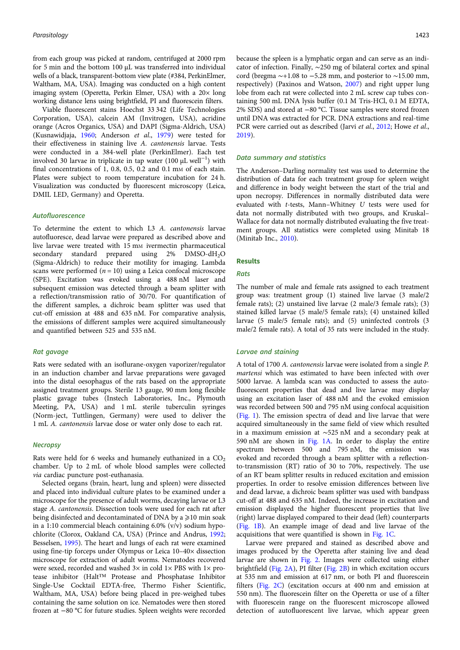from each group was picked at random, centrifuged at 2000 rpm for 5 min and the bottom 100 µL was transferred into individual wells of a black, transparent-bottom view plate (#384, PerkinElmer, Waltham, MA, USA). Imaging was conducted on a high content imaging system (Operetta, Perkin Elmer, USA) with a  $20 \times$  long working distance lens using brightfield, PI and fluorescein filters.

Viable fluorescent stains Hoechst 33 342 (Life Technologies Corporation, USA), calcein AM (Invitrogen, USA), acridine orange (Acros Organics, USA) and DAPI (Sigma-Aldrich, USA) (Kusnawidjaja, [1960;](#page-9-0) Anderson et al., [1979](#page-8-0)) were tested for their effectiveness in staining live A. cantonensis larvae. Tests were conducted in a 384-well plate (PerkinElmer). Each test involved 30 larvae in triplicate in tap water (100 µL well−<sup>1</sup> ) with final concentrations of  $1, 0.8, 0.5, 0.2$  and  $0.1 \text{ mm}$  of each stain. Plates were subject to room temperature incubation for 24 h. Visualization was conducted by fluorescent microscopy (Leica, DMIL LED, Germany) and Operetta.

#### Autofluorescence

To determine the extent to which L3 A. cantonensis larvae autofluoresce, dead larvae were prepared as described above and live larvae were treated with 15 mm ivermectin pharmaceutical secondary standard prepared using 2% DMSO-dH2O (Sigma-Aldrich) to reduce their motility for imaging. Lambda scans were performed  $(n = 10)$  using a Leica confocal microscope (SPE). Excitation was evoked using a 488 nM laser and subsequent emission was detected through a beam splitter with a reflection/transmission ratio of 30/70. For quantification of the different samples, a dichroic beam splitter was used that cut-off emission at 488 and 635 nM. For comparative analysis, the emissions of different samples were acquired simultaneously and quantified between 525 and 535 nM.

## Rat gavage

Rats were sedated with an isoflurane-oxygen vaporizer/regulator in an induction chamber and larvae preparations were gavaged into the distal oesophagus of the rats based on the appropriate assigned treatment groups. Sterile 13 gauge, 90 mm long flexible plastic gavage tubes (Instech Laboratories, Inc., Plymouth Meeting, PA, USA) and 1 mL sterile tuberculin syringes (Norm-ject, Tuttlingen, Germany) were used to deliver the 1 mL A. cantonensis larvae dose or water only dose to each rat.

#### **Necropsy**

Rats were held for 6 weeks and humanely euthanized in a  $CO<sub>2</sub>$ chamber. Up to 2 mL of whole blood samples were collected via cardiac puncture post-euthanasia.

Selected organs (brain, heart, lung and spleen) were dissected and placed into individual culture plates to be examined under a microscope for the presence of adult worms, decaying larvae or L3 stage A. cantonensis. Dissection tools were used for each rat after being disinfected and decontaminated of DNA by a  $\geq 10$  min soak in a 1:10 commercial bleach containing 6.0% (v/v) sodium hypochlorite (Clorox, Oakland CA, USA) (Prince and Andrus, [1992;](#page-9-0) Besselsen, [1995](#page-8-0)). The heart and lungs of each rat were examined using fine-tip forceps under Olympus or Leica 10–40× dissection microscope for extraction of adult worms. Nematodes recovered were sexed, recorded and washed  $3\times$  in cold  $1\times$  PBS with  $1\times$  protease inhibitor (Halt™ Protease and Phosphatase Inhibitor Single-Use Cocktail EDTA-free, Thermo Fisher Scientific, Waltham, MA, USA) before being placed in pre-weighed tubes containing the same solution on ice. Nematodes were then stored frozen at −80 °C for future studies. Spleen weights were recorded

because the spleen is a lymphatic organ and can serve as an indicator of infection. Finally, ∼250 mg of bilateral cortex and spinal cord (bregma  $\sim$ +1.08 to −5.28 mm, and posterior to  $\sim$ 15.00 mm, respectively) (Paxinos and Watson, [2007](#page-9-0)) and right upper lung lobe from each rat were collected into 2 mL screw cap tubes containing 500 mL DNA lysis buffer (0.1 M Tris-HCl, 0.1 M EDTA, 2% SDS) and stored at −80 °C. Tissue samples were stored frozen until DNA was extracted for PCR. DNA extractions and real-time PCR were carried out as described (Jarvi et al., [2012](#page-8-0); Howe et al., [2019](#page-8-0)).

#### Data summary and statistics

The Anderson–Darling normality test was used to determine the distribution of data for each treatment group for spleen weight and difference in body weight between the start of the trial and upon necropsy. Differences in normally distributed data were evaluated with t-tests, Mann–Whitney U tests were used for data not normally distributed with two groups, and Kruskal– Wallace for data not normally distributed evaluating the five treatment groups. All statistics were completed using Minitab 18 (Minitab Inc., [2010\)](#page-9-0).

#### **Desults**

#### Rats

The number of male and female rats assigned to each treatment group was: treatment group (1) stained live larvae (3 male/2 female rats); (2) unstained live larvae (2 male/3 female rats); (3) stained killed larvae (5 male/5 female rats); (4) unstained killed larvae (5 male/5 female rats); and (5) uninfected controls (3 male/2 female rats). A total of 35 rats were included in the study.

#### Larvae and staining

A total of 1700 A. cantonensis larvae were isolated from a single P. martensi which was estimated to have been infected with over 5000 larvae. A lambda scan was conducted to assess the autofluorescent properties that dead and live larvae may display using an excitation laser of 488 nM and the evoked emission was recorded between 500 and 795 nM using confocal acquisition [\(Fig. 1](#page-5-0)). The emission spectra of dead and live larvae that were acquired simultaneously in the same field of view which resulted in a maximum emission at ∼525 nM and a secondary peak at 590 nM are shown in [Fig. 1A](#page-5-0). In order to display the entire spectrum between 500 and 795 nM, the emission was evoked and recorded through a beam splitter with a reflectionto-transmission (RT) ratio of 30 to 70%, respectively. The use of an RT beam splitter results in reduced excitation and emission properties. In order to resolve emission differences between live and dead larvae, a dichroic beam splitter was used with bandpass cut-off at 488 and 635 nM. Indeed, the increase in excitation and emission displayed the higher fluorescent properties that live (right) larvae displayed compared to their dead (left) counterparts [\(Fig. 1B\)](#page-5-0). An example image of dead and live larvae of the acquisitions that were quantified is shown in [Fig. 1C.](#page-5-0)

Larvae were prepared and stained as described above and images produced by the Operetta after staining live and dead larvae are shown in [Fig. 2](#page-5-0). Images were collected using either brightfield ([Fig. 2A](#page-5-0)), PI filter ([Fig. 2B](#page-5-0)) in which excitation occurs at 535 nm and emission at 617 nm, or both PI and fluorescein filters [\(Fig. 2C\)](#page-5-0) (excitation occurs at 400 nm and emission at 550 nm). The fluorescein filter on the Operetta or use of a filter with fluorescein range on the fluorescent microscope allowed detection of autofluorescent live larvae, which appear green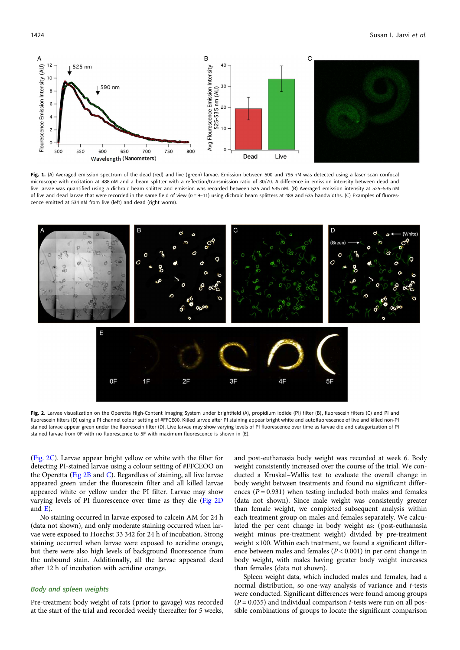<span id="page-5-0"></span>

Fig. 1. (A) Averaged emission spectrum of the dead (red) and live (green) larvae. Emission between 500 and 795 nM was detected using a laser scan confocal microscope with excitation at 488 nM and a beam splitter with a reflection/transmission ratio of 30/70. A difference in emission intensity between dead and live larvae was quantified using a dichroic beam splitter and emission was recorded between 525 and 535 nM. (B) Averaged emission intensity at 525–535 nM of live and dead larvae that were recorded in the same field of view  $(n=9-11)$  using dichroic beam splitters at 488 and 635 bandwidths. (C) Examples of fluorescence emitted at 534 nM from live (left) and dead (right worm).



Fig. 2. Larvae visualization on the Operetta High-Content Imaging System under brightfield (A), propidium iodide (PI) filter (B), fluorescein filters (C) and PI and fluorescein filters (D) using a PI channel colour setting of #FFCE00. Killed larvae after PI staining appear bright white and autofluorescence of live and killed non-PI stained larvae appear green under the fluorescein filter (D). Live larvae may show varying levels of PI fluorescence over time as larvae die and categorization of PI stained larvae from 0F with no fluorescence to 5F with maximum fluorescence is shown in (E).

(Fig. 2C). Larvae appear bright yellow or white with the filter for detecting PI-stained larvae using a colour setting of #FFCEOO on the Operetta (Fig 2B and C). Regardless of staining, all live larvae appeared green under the fluorescein filter and all killed larvae appeared white or yellow under the PI filter. Larvae may show varying levels of PI fluorescence over time as they die (Fig 2D and E).

No staining occurred in larvae exposed to calcein AM for 24 h (data not shown), and only moderate staining occurred when larvae were exposed to Hoechst 33 342 for 24 h of incubation. Strong staining occurred when larvae were exposed to acridine orange, but there were also high levels of background fluorescence from the unbound stain. Additionally, all the larvae appeared dead after 12 h of incubation with acridine orange.

## Body and spleen weights

Pre-treatment body weight of rats (prior to gavage) was recorded at the start of the trial and recorded weekly thereafter for 5 weeks, and post-euthanasia body weight was recorded at week 6. Body weight consistently increased over the course of the trial. We conducted a Kruskal–Wallis test to evaluate the overall change in body weight between treatments and found no significant differences ( $P = 0.931$ ) when testing included both males and females (data not shown). Since male weight was consistently greater than female weight, we completed subsequent analysis within each treatment group on males and females separately. We calculated the per cent change in body weight as: (post-euthanasia weight minus pre-treatment weight) divided by pre-treatment weight  $\times$ 100. Within each treatment, we found a significant difference between males and females  $(P < 0.001)$  in per cent change in body weight, with males having greater body weight increases than females (data not shown).

Spleen weight data, which included males and females, had a normal distribution, so one-way analysis of variance and t-tests were conducted. Significant differences were found among groups  $(P = 0.035)$  and individual comparison *t*-tests were run on all possible combinations of groups to locate the significant comparison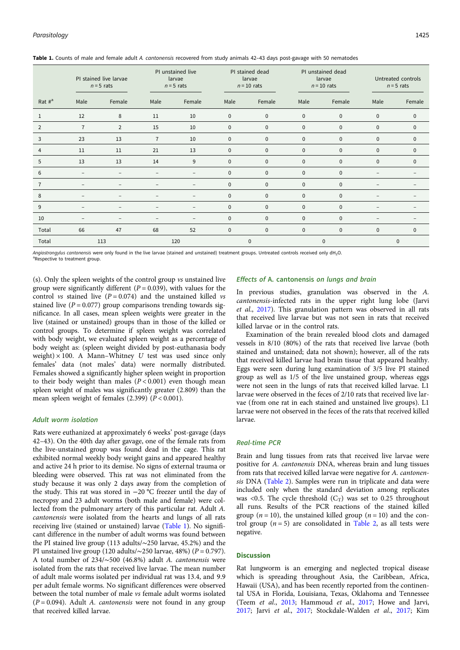|                | PI stained live larvae<br>$n = 5$ rats |                          | PI unstained live<br>larvae<br>$n = 5$ rats |                          | PI stained dead<br>larvae<br>$n = 10$ rats |              | PI unstained dead<br>larvae<br>$n = 10$ rats |              | Untreated controls<br>$n = 5$ rats |              |
|----------------|----------------------------------------|--------------------------|---------------------------------------------|--------------------------|--------------------------------------------|--------------|----------------------------------------------|--------------|------------------------------------|--------------|
| Rat $\#^a$     | Male                                   | Female                   | Male                                        | Female                   | Male                                       | Female       | Male                                         | Female       | Male                               | Female       |
| 1              | 12                                     | 8                        | 11                                          | 10                       | $\mathbf 0$                                | $\mathbf 0$  | $\mathbf 0$                                  | $\mathbf 0$  | $\mathbf 0$                        | $\mathbf 0$  |
| $\overline{2}$ | $\overline{7}$                         | $\overline{2}$           | 15                                          | 10                       | $\mathbf{0}$                               | $\mathbf 0$  | $\mathbf{0}$                                 | $\mathbf{0}$ | $\mathbf{0}$                       | $\mathbf 0$  |
| 3              | 23                                     | 13                       | $\overline{7}$                              | 10                       | $\mathbf 0$                                | $\mathbf 0$  | $\mathbf 0$                                  | $\mathbf 0$  | $\mathbf{0}$                       | $\mathbf 0$  |
| 4              | 11                                     | 11                       | 21                                          | 13                       | $\mathbf{0}$                               | $\mathbf{0}$ | $\mathbf{0}$                                 | $\mathbf{0}$ | $\mathbf{0}$                       | $\mathbf 0$  |
| 5              | 13                                     | 13                       | 14                                          | 9                        | $\mathbf{0}$                               | $\mathbf 0$  | $\mathbf{0}$                                 | $\mathbf 0$  | $\mathbf{0}$                       | $\mathbf 0$  |
| 6              | $\overline{\phantom{0}}$               | $\overline{\phantom{0}}$ |                                             | $\overline{\phantom{a}}$ | $\mathbf{0}$                               | $\mathbf{0}$ | $\mathbf{0}$                                 | $\mathbf{0}$ |                                    |              |
|                |                                        |                          |                                             |                          | 0                                          | $\mathbf 0$  | $\mathbf{0}$                                 | $\mathbf{0}$ |                                    |              |
| 8              |                                        | $\overline{\phantom{0}}$ |                                             | $\overline{\phantom{a}}$ | $\mathbf{0}$                               | $\mathbf{0}$ | $\mathbf 0$                                  | $\mathbf{0}$ |                                    |              |
| 9              | $\overline{\phantom{0}}$               | $\overline{\phantom{0}}$ |                                             | $\overline{\phantom{m}}$ | $\mathbf{0}$                               | $\mathbf{0}$ | $\mathbf{0}$                                 | $\mathbf{0}$ |                                    |              |
| 10             | $\overline{\phantom{0}}$               | -                        | -                                           | ۰                        | $\mathbf 0$                                | $\mathbf 0$  | $\mathbf 0$                                  | $\mathbf 0$  |                                    |              |
| Total          | 66                                     | 47                       | 68                                          | 52                       | $\mathbf{0}$                               | $\mathbf 0$  | $\mathbf{0}$                                 | $\mathbf{0}$ | $\mathbf{0}$                       | $\mathbf{0}$ |
| Total          | 113                                    |                          | 120                                         |                          | $\mathbf 0$                                |              | 0                                            |              | 0                                  |              |

Table 1. Counts of male and female adult A. cantonensis recovered from study animals 42-43 days post-gavage with 50 nematodes

Angiostrongylus cantonensis were only found in the live larvae (stained and unstained) treatment groups. Untreated controls received only dH<sub>2</sub>O. <sup>a</sup>Respective to treatment group.

(s). Only the spleen weights of the control group vs unstained live group were significantly different ( $P = 0.039$ ), with values for the control vs stained live  $(P = 0.074)$  and the unstained killed vs stained live  $(P = 0.077)$  group comparisons trending towards significance. In all cases, mean spleen weights were greater in the live (stained or unstained) groups than in those of the killed or control groups. To determine if spleen weight was correlated with body weight, we evaluated spleen weight as a percentage of body weight as: (spleen weight divided by post-euthanasia body weight)  $\times$  100. A Mann-Whitney U test was used since only females' data (not males' data) were normally distributed. Females showed a significantly higher spleen weight in proportion to their body weight than males  $(P < 0.001)$  even though mean spleen weight of males was significantly greater (2.809) than the mean spleen weight of females  $(2.399)$   $(P < 0.001)$ .

## Adult worm isolation

Rats were euthanized at approximately 6 weeks' post-gavage (days 42–43). On the 40th day after gavage, one of the female rats from the live-unstained group was found dead in the cage. This rat exhibited normal weekly body weight gains and appeared healthy and active 24 h prior to its demise. No signs of external trauma or bleeding were observed. This rat was not eliminated from the study because it was only 2 days away from the completion of the study. This rat was stored in −20 °C freezer until the day of necropsy and 23 adult worms (both male and female) were collected from the pulmonary artery of this particular rat. Adult A. cantonensis were isolated from the hearts and lungs of all rats receiving live (stained or unstained) larvae (Table 1). No significant difference in the number of adult worms was found between the PI stained live group (113 adults/∼250 larvae, 45.2%) and the PI unstained live group (120 adults/∼250 larvae, 48%) ( $P = 0.797$ ). A total number of 234/∼500 (46.8%) adult A. cantonensis were isolated from the rats that received live larvae. The mean number of adult male worms isolated per individual rat was 13.4, and 9.9 per adult female worms. No significant differences were observed between the total number of male vs female adult worms isolated  $(P = 0.094)$ . Adult A. *cantonensis* were not found in any group that received killed larvae.

#### Effects of A. cantonensis on lungs and brain

In previous studies, granulation was observed in the A. cantonensis-infected rats in the upper right lung lobe (Jarvi et al., [2017\)](#page-9-0). This granulation pattern was observed in all rats that received live larvae but was not seen in rats that received killed larvae or in the control rats.

Examination of the brain revealed blood clots and damaged vessels in 8/10 (80%) of the rats that received live larvae (both stained and unstained; data not shown); however, all of the rats that received killed larvae had brain tissue that appeared healthy. Eggs were seen during lung examination of 3/5 live PI stained group as well as 1/5 of the live unstained group, whereas eggs were not seen in the lungs of rats that received killed larvae. L1 larvae were observed in the feces of 2/10 rats that received live larvae (from one rat in each stained and unstained live groups). L1 larvae were not observed in the feces of the rats that received killed larvae.

## Real-time PCR

Brain and lung tissues from rats that received live larvae were positive for A. cantonensis DNA, whereas brain and lung tissues from rats that received killed larvae were negative for A. cantonensis DNA [\(Table 2\)](#page-7-0). Samples were run in triplicate and data were included only when the standard deviation among replicates was <0.5. The cycle threshold  $(C_T)$  was set to 0.25 throughout all runs. Results of the PCR reactions of the stained killed group ( $n = 10$ ), the unstained killed group ( $n = 10$ ) and the control group  $(n = 5)$  are consolidated in [Table 2](#page-7-0), as all tests were negative.

#### Discussion

Rat lungworm is an emerging and neglected tropical disease which is spreading throughout Asia, the Caribbean, Africa, Hawaii (USA), and has been recently reported from the continental USA in Florida, Louisiana, Texas, Oklahoma and Tennessee (Teem et al., [2013](#page-9-0); Hammoud et al., [2017](#page-8-0); Howe and Jarvi, [2017](#page-8-0); Jarvi et al., [2017](#page-9-0); Stockdale-Walden et al., [2017](#page-9-0); Kim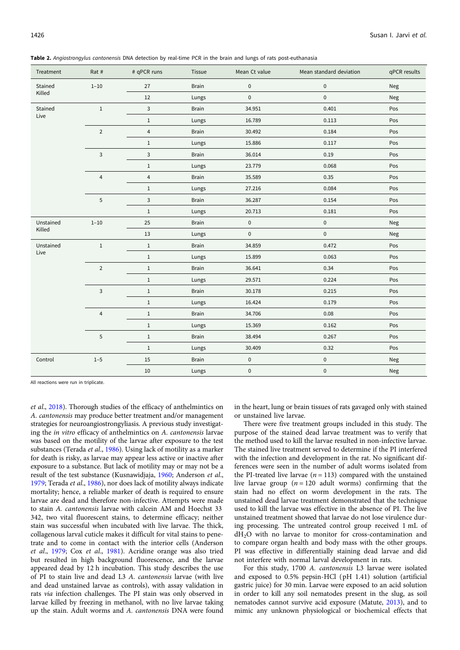| Treatment | Rat #                     | # qPCR runs               | Tissue       | Mean Ct value | Mean standard deviation | qPCR results |
|-----------|---------------------------|---------------------------|--------------|---------------|-------------------------|--------------|
| Stained   | $1 - 10$                  | 27                        | <b>Brain</b> | $\pmb{0}$     | $\pmb{0}$               | Neg          |
| Killed    |                           | 12                        | Lungs        | $\pmb{0}$     | $\pmb{0}$               | Neg          |
| Stained   | $\,1\,$                   | $\mathsf{3}$              | <b>Brain</b> | 34.951        | 0.401                   | Pos          |
| Live      |                           | $\,1$                     | Lungs        | 16.789        | 0.113                   | Pos          |
|           | $\overline{2}$            | $\sqrt{4}$                | <b>Brain</b> | 30.492        | 0.184                   | Pos          |
|           |                           | $1\,$                     | Lungs        | 15.886        | 0.117                   | Pos          |
|           | $\ensuremath{\mathsf{3}}$ | $\ensuremath{\mathsf{3}}$ | <b>Brain</b> | 36.014        | 0.19                    | Pos          |
|           |                           | $1\,$                     | Lungs        | 23.779        | 0.068                   | Pos          |
|           | $\overline{4}$            | $\sqrt{4}$                | <b>Brain</b> | 35.589        | 0.35                    | Pos          |
|           |                           | $1\,$                     | Lungs        | 27.216        | 0.084                   | Pos          |
|           | $\sqrt{5}$                | $\mathsf 3$               | <b>Brain</b> | 36.287        | 0.154                   | Pos          |
|           |                           | $\,1$                     | Lungs        | 20.713        | 0.181                   | Pos          |
| Unstained | $1 - 10$                  | 25                        | <b>Brain</b> | $\pmb{0}$     | $\pmb{0}$               | Neg          |
| Killed    |                           | 13                        | Lungs        | $\pmb{0}$     | $\pmb{0}$               | Neg          |
| Unstained | $1\,$                     | $\,1$                     | <b>Brain</b> | 34.859        | 0.472                   | Pos          |
| Live      |                           | $\,1\,$                   | Lungs        | 15.899        | 0.063                   | Pos          |
|           | $\mathbf 2$               | $\,1$                     | <b>Brain</b> | 36.641        | 0.34                    | Pos          |
|           |                           | $\,1$                     | Lungs        | 29.571        | 0.224                   | Pos          |
|           | $\mathsf 3$               | $1\,$                     | <b>Brain</b> | 30.178        | 0.215                   | Pos          |
|           |                           | $\,1$                     | Lungs        | 16.424        | 0.179                   | Pos          |
|           | $\sqrt{4}$                | $\,1$                     | <b>Brain</b> | 34.706        | 0.08                    | Pos          |
|           |                           | $\,1$                     | Lungs        | 15.369        | 0.162                   | Pos          |
|           | $\mathsf S$               | $\,1$                     | <b>Brain</b> | 38.494        | 0.267                   | Pos          |
|           |                           | $1\,$                     | Lungs        | 30.409        | 0.32                    | Pos          |
| Control   | $1 - 5$                   | 15                        | <b>Brain</b> | $\pmb{0}$     | $\pmb{0}$               | Neg          |
|           |                           | $10\,$                    | Lungs        | $\pmb{0}$     | $\pmb{0}$               | Neg          |

<span id="page-7-0"></span>Table 2. Angiostrongylus cantonensis DNA detection by real-time PCR in the brain and lungs of rats post-euthanasia

All reactions were run in triplicate.

et al., [2018](#page-9-0)). Thorough studies of the efficacy of anthelmintics on A. cantonensis may produce better treatment and/or management strategies for neuroangiostrongyliasis. A previous study investigating the in vitro efficacy of anthelmintics on A. cantonensis larvae was based on the motility of the larvae after exposure to the test substances (Terada et al., [1986](#page-9-0)). Using lack of motility as a marker for death is risky, as larvae may appear less active or inactive after exposure to a substance. But lack of motility may or may not be a result of the test substance (Kusnawidjaja, [1960;](#page-9-0) Anderson et al., [1979;](#page-8-0) Terada et al., [1986](#page-9-0)), nor does lack of motility always indicate mortality; hence, a reliable marker of death is required to ensure larvae are dead and therefore non-infective. Attempts were made to stain A. cantonensis larvae with calcein AM and Hoechst 33 342, two vital fluorescent stains, to determine efficacy; neither stain was successful when incubated with live larvae. The thick, collagenous larval cuticle makes it difficult for vital stains to penetrate and to come in contact with the interior cells (Anderson et al., [1979;](#page-8-0) Cox et al., [1981](#page-8-0)). Acridine orange was also tried but resulted in high background fluorescence, and the larvae appeared dead by 12 h incubation. This study describes the use of PI to stain live and dead L3 A. cantonensis larvae (with live and dead unstained larvae as controls), with assay validation in rats via infection challenges. The PI stain was only observed in larvae killed by freezing in methanol, with no live larvae taking up the stain. Adult worms and A. cantonensis DNA were found

in the heart, lung or brain tissues of rats gavaged only with stained or unstained live larvae.

There were five treatment groups included in this study. The purpose of the stained dead larvae treatment was to verify that the method used to kill the larvae resulted in non-infective larvae. The stained live treatment served to determine if the PI interfered with the infection and development in the rat. No significant differences were seen in the number of adult worms isolated from the PI-treated live larvae ( $n = 113$ ) compared with the unstained live larvae group  $(n = 120$  adult worms) confirming that the stain had no effect on worm development in the rats. The unstained dead larvae treatment demonstrated that the technique used to kill the larvae was effective in the absence of PI. The live unstained treatment showed that larvae do not lose virulence during processing. The untreated control group received 1 mL of  $dH<sub>2</sub>O$  with no larvae to monitor for cross-contamination and to compare organ health and body mass with the other groups. PI was effective in differentially staining dead larvae and did not interfere with normal larval development in rats.

For this study, 1700 A. cantonensis L3 larvae were isolated and exposed to 0.5% pepsin-HCl (pH 1.41) solution (artificial gastric juice) for 30 min. Larvae were exposed to an acid solution in order to kill any soil nematodes present in the slug, as soil nematodes cannot survive acid exposure (Matute, [2013](#page-9-0)), and to mimic any unknown physiological or biochemical effects that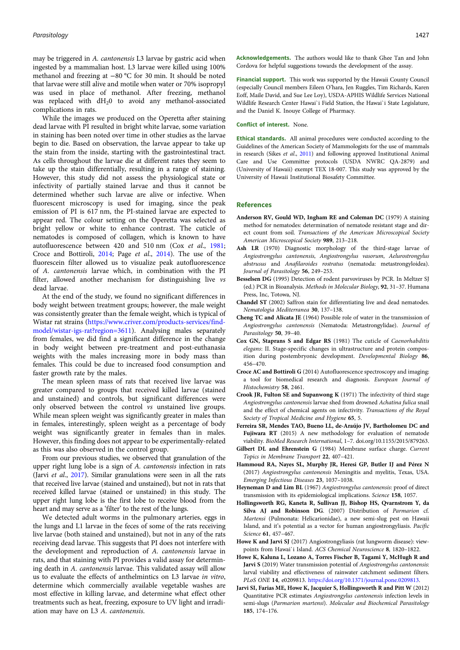<span id="page-8-0"></span>may be triggered in A. cantonensis L3 larvae by gastric acid when ingested by a mammalian host. L3 larvae were killed using 100% methanol and freezing at −80 °C for 30 min. It should be noted that larvae were still alive and motile when water or 70% isopropyl was used in place of methanol. After freezing, methanol was replaced with  $dH_20$  to avoid any methanol-associated complications in rats.

While the images we produced on the Operetta after staining dead larvae with PI resulted in bright white larvae, some variation in staining has been noted over time in other studies as the larvae begin to die. Based on observation, the larvae appear to take up the stain from the inside, starting with the gastrointestinal tract. As cells throughout the larvae die at different rates they seem to take up the stain differentially, resulting in a range of staining. However, this study did not assess the physiological state or infectivity of partially stained larvae and thus it cannot be determined whether such larvae are alive or infective. When fluorescent microscopy is used for imaging, since the peak emission of PI is 617 nm, the PI-stained larvae are expected to appear red. The colour setting on the Operetta was selected as bright yellow or white to enhance contrast. The cuticle of nematodes is composed of collagen, which is known to have autofluorescence between 420 and 510 nm (Cox et al., 1981; Croce and Bottiroli, 2014; Page et al., [2014](#page-9-0)). The use of the fluorescein filter allowed us to visualize peak autofluorescence of A. cantonensis larvae which, in combination with the PI filter, allowed another mechanism for distinguishing live vs dead larvae.

At the end of the study, we found no significant differences in body weight between treatment groups; however, the male weight was consistently greater than the female weight, which is typical of Wistar rat strains ([https://www.criver.com/products-services/find](https://www.criver.com/products-services/find-model/wistar-igs-rat?region=3611)[model/wistar-igs-rat?region=3611](https://www.criver.com/products-services/find-model/wistar-igs-rat?region=3611)). Analysing males separately from females, we did find a significant difference in the change in body weight between pre-treatment and post-euthanasia weights with the males increasing more in body mass than females. This could be due to increased food consumption and faster growth rate by the males.

The mean spleen mass of rats that received live larvae was greater compared to groups that received killed larvae (stained and unstained) and controls, but significant differences were only observed between the control vs unstained live groups. While mean spleen weight was significantly greater in males than in females, interestingly, spleen weight as a percentage of body weight was significantly greater in females than in males. However, this finding does not appear to be experimentally-related as this was also observed in the control group.

From our previous studies, we observed that granulation of the upper right lung lobe is a sign of A. cantonensis infection in rats (Jarvi et al., 2017). Similar granulations were seen in all the rats that received live larvae (stained and unstained), but not in rats that received killed larvae (stained or unstained) in this study. The upper right lung lobe is the first lobe to receive blood from the heart and may serve as a 'filter' to the rest of the lungs.

We detected adult worms in the pulmonary arteries, eggs in the lungs and L1 larvae in the feces of some of the rats receiving live larvae (both stained and unstained), but not in any of the rats receiving dead larvae. This suggests that PI does not interfere with the development and reproduction of A. cantonensis larvae in rats, and that staining with PI provides a valid assay for determining death in A. cantonensis larvae. This validated assay will allow us to evaluate the effects of anthelmintics on L3 larvae in vitro, determine which commercially available vegetable washes are most effective in killing larvae, and determine what effect other treatments such as heat, freezing, exposure to UV light and irradiation may have on L3 A. cantonensis.

Acknowledgements. The authors would like to thank Ghee Tan and John Cordova for helpful suggestions towards the development of the assay.

Financial support. This work was supported by the Hawaii County Council (especially Council members Eileen O'hara, Jen Ruggles, Tim Richards, Karen Eoff, Maile David, and Sue Lee Loy), USDA-APHIS Wildlife Services National Wildlife Research Center Hawai`i Field Station, the Hawai`i State Legislature, and the Daniel K. Inouye College of Pharmacy.

#### Conflict of interest. None.

Ethical standards. All animal procedures were conducted according to the Guidelines of the American Society of Mammologists for the use of mammals in research (Sikes et al., [2011](#page-9-0)) and following approved Institutional Animal Care and Use Committee protocols (USDA NWRC QA-2879) and (University of Hawaii) exempt TEX 18-007. This study was approved by the University of Hawaii Institutional Biosafety Committee.

#### References

- Anderson RV, Gould WD, Ingham RE and Coleman DC (1979) A staining method for nematodes: determination of nematode resistant stage and direct count from soil. Transactions of the American Microscopical Society American Microscopical Society 989, 213–218.
- Ash LR (1970) Diagnostic morphology of the third-stage larvae of Angiostrongylus cantonensis, Angiostrongylus vasorum, Aelurostrongylus abstrusus and Anafilaroides rostratus (nematoda: metastrongyloidea). Journal of Parasitology 56, 249–253.
- Besselsen DG (1995) Detection of rodent parvoviruses by PCR. In Meltzer SJ (ed.) PCR in Bioanalysis. Methods in Molecular Biology, 92, 31–37. Humana Press, Inc, Totowa, NJ.
- Chandel ST (2002) Saffron stain for differentiating live and dead nematodes. Nematologia Mediterranea 30, 137–138.
- Cheng TC and Alicata JE (1964) Possible role of water in the transmission of Angiostrongylus cantonensis (Nematoda: Metastrongylidae). Journal of Parasitology 50, 39–40.
- Cox GN, Staprans S and Edgar RS (1981) The cuticle of Caenorhabditis elegans: II. Stage-specific changes in ultrastructure and protein composition during postembryonic development. Developmental Biology 86, 456–470.
- Croce AC and Bottiroli G (2014) Autofluorescence spectroscopy and imaging: a tool for biomedical research and diagnosis. European Journal of Histochemistry 58, 2461.
- Crook JR, Fulton SE and Supanwong K (1971) The infectivity of third stage Angiostrongylus cantonensis larvae shed from drowned Achatina fulica snail and the effect of chemical agents on infectivity. Transactions of the Royal Society of Tropical Medicine and Hygiene 65, 5.
- Ferreira SR, Mendes TAO, Bueno LL, de-Araújo JV, Bartholomeu DC and Fujiwara RT (2015) A new methodology for evaluation of nematode viability. BioMed Research International, 1–7. doi.org/10.1155/2015/879263.
- Gilbert DL and Ehrenstein G (1984) Membrane surface charge. Current Topics in Membrane Transport 22, 407–421.
- Hammoud RA, Nayes SL, Murphy JR, Heresi GP, Butler IJ and Pérez N (2017) Angiostrongylus cantonensis Meningitis and myelitis, Texas, USA. Emerging Infectious Diseases 23, 1037–1038.
- Heyneman D and Lim BL (1967) Angiostrongylus cantonensis: proof of direct transmission with its epidemiological implications. Science 158, 1057.
- Hollingsworth RG, Kaneta R, Sullivan JJ, Bishop HS, Qvarnstrom Y, da Silva AJ and Robinson DG. (2007) Distribution of Parmarion cf. Martensi (Pulmonata: Helicarionidae), a new semi-slug pest on Hawaii Island, and it's potential as a vector for human angiostrongyliasis. Pacific Science 61, 457–467.
- Howe K and Jarvi SJ (2017) Angiostrongyliasis (rat lungworm disease): viewpoints from Hawai`i Island. ACS Chemical Neuroscience 8, 1820–1822.
- Howe K, Kaluna L, Lozano A, Torres Fischer B, Tagami Y, McHugh R and Jarvi S (2019) Water transmission potential of Angiostrongylus cantonensis: larval viability and effectiveness of rainwater catchment sediment filters. PLoS ONE 14, e0209813. <https://doi.org/10.1371/journal.pone.0209813>.
- Jarvi SI, Farias ME, Howe K, Jacquier S, Hollingsworth R and Pitt W (2012) Quantitative PCR estimates Angiostrongylus cantonensis infection levels in semi-slugs (Parmarion martensi). Molecular and Biochemical Parasitology 185, 174–176.